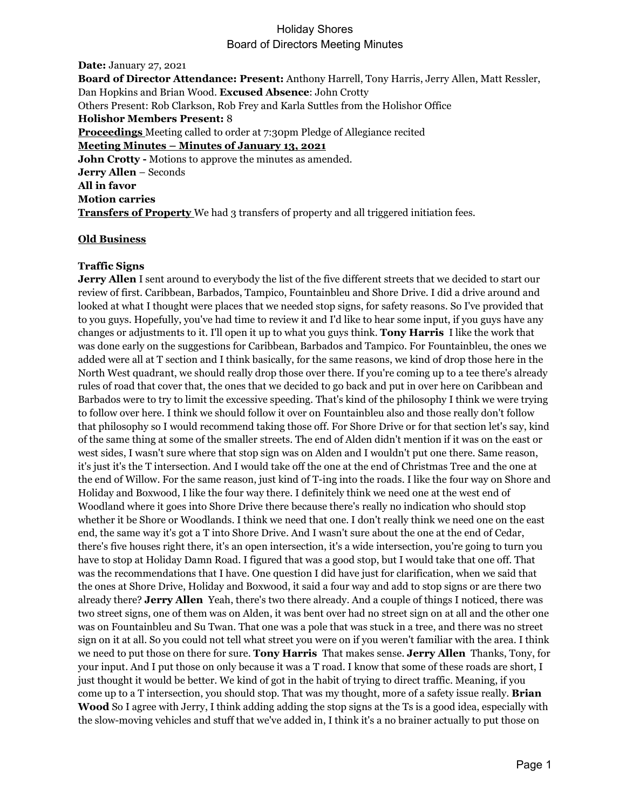**Date:** January 27, 2021 **Board of Director Attendance: Present:** Anthony Harrell, Tony Harris, Jerry Allen, Matt Ressler, Dan Hopkins and Brian Wood. **Excused Absence**: John Crotty Others Present: Rob Clarkson, Rob Frey and Karla Suttles from the Holishor Office **Holishor Members Present:** 8 **Proceedings** Meeting called to order at 7:30pm Pledge of Allegiance recited **Meeting Minutes – Minutes of January 13, 2021 John Crotty -** Motions to approve the minutes as amended. **Jerry Allen** – Seconds **All in favor Motion carries Transfers of Property** We had 3 transfers of property and all triggered initiation fees.

### **Old Business**

### **Traffic Signs**

**Jerry Allen** I sent around to everybody the list of the five different streets that we decided to start our review of first. Caribbean, Barbados, Tampico, Fountainbleu and Shore Drive. I did a drive around and looked at what I thought were places that we needed stop signs, for safety reasons. So I've provided that to you guys. Hopefully, you've had time to review it and I'd like to hear some input, if you guys have any changes or adjustments to it. I'll open it up to what you guys think. **Tony Harris** I like the work that was done early on the suggestions for Caribbean, Barbados and Tampico. For Fountainbleu, the ones we added were all at T section and I think basically, for the same reasons, we kind of drop those here in the North West quadrant, we should really drop those over there. If you're coming up to a tee there's already rules of road that cover that, the ones that we decided to go back and put in over here on Caribbean and Barbados were to try to limit the excessive speeding. That's kind of the philosophy I think we were trying to follow over here. I think we should follow it over on Fountainbleu also and those really don't follow that philosophy so I would recommend taking those off. For Shore Drive or for that section let's say, kind of the same thing at some of the smaller streets. The end of Alden didn't mention if it was on the east or west sides, I wasn't sure where that stop sign was on Alden and I wouldn't put one there. Same reason, it's just it's the T intersection. And I would take off the one at the end of Christmas Tree and the one at the end of Willow. For the same reason, just kind of T-ing into the roads. I like the four way on Shore and Holiday and Boxwood, I like the four way there. I definitely think we need one at the west end of Woodland where it goes into Shore Drive there because there's really no indication who should stop whether it be Shore or Woodlands. I think we need that one. I don't really think we need one on the east end, the same way it's got a T into Shore Drive. And I wasn't sure about the one at the end of Cedar, there's five houses right there, it's an open intersection, it's a wide intersection, you're going to turn you have to stop at Holiday Damn Road. I figured that was a good stop, but I would take that one off. That was the recommendations that I have. One question I did have just for clarification, when we said that the ones at Shore Drive, Holiday and Boxwood, it said a four way and add to stop signs or are there two already there? **Jerry Allen** Yeah, there's two there already. And a couple of things I noticed, there was two street signs, one of them was on Alden, it was bent over had no street sign on at all and the other one was on Fountainbleu and Su Twan. That one was a pole that was stuck in a tree, and there was no street sign on it at all. So you could not tell what street you were on if you weren't familiar with the area. I think we need to put those on there for sure. **Tony Harris** That makes sense. **Jerry Allen** Thanks, Tony, for your input. And I put those on only because it was a T road. I know that some of these roads are short, I just thought it would be better. We kind of got in the habit of trying to direct traffic. Meaning, if you come up to a T intersection, you should stop. That was my thought, more of a safety issue really. **Brian Wood** So I agree with Jerry, I think adding adding the stop signs at the Ts is a good idea, especially with the slow-moving vehicles and stuff that we've added in, I think it's a no brainer actually to put those on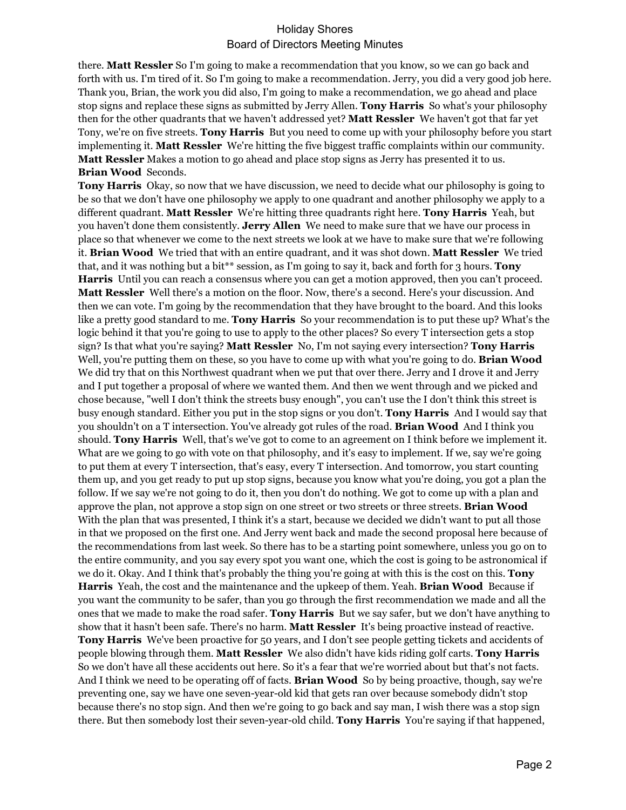there. **Matt Ressler** So I'm going to make a recommendation that you know, so we can go back and forth with us. I'm tired of it. So I'm going to make a recommendation. Jerry, you did a very good job here. Thank you, Brian, the work you did also, I'm going to make a recommendation, we go ahead and place stop signs and replace these signs as submitted by Jerry Allen. **Tony Harris** So what's your philosophy then for the other quadrants that we haven't addressed yet? **Matt Ressler** We haven't got that far yet Tony, we're on five streets. **Tony Harris** But you need to come up with your philosophy before you start implementing it. **Matt Ressler** We're hitting the five biggest traffic complaints within our community. **Matt Ressler** Makes a motion to go ahead and place stop signs as Jerry has presented it to us. **Brian Wood** Seconds.

**Tony Harris** Okay, so now that we have discussion, we need to decide what our philosophy is going to be so that we don't have one philosophy we apply to one quadrant and another philosophy we apply to a different quadrant. **Matt Ressler** We're hitting three quadrants right here. **Tony Harris** Yeah, but you haven't done them consistently. **Jerry Allen** We need to make sure that we have our process in place so that whenever we come to the next streets we look at we have to make sure that we're following it. **Brian Wood** We tried that with an entire quadrant, and it was shot down. **Matt Ressler** We tried that, and it was nothing but a bit\*\* session, as I'm going to say it, back and forth for 3 hours. **Tony Harris** Until you can reach a consensus where you can get a motion approved, then you can't proceed. **Matt Ressler** Well there's a motion on the floor. Now, there's a second. Here's your discussion. And then we can vote. I'm going by the recommendation that they have brought to the board. And this looks like a pretty good standard to me. **Tony Harris** So your recommendation is to put these up? What's the logic behind it that you're going to use to apply to the other places? So every T intersection gets a stop sign? Is that what you're saying? **Matt Ressler** No, I'm not saying every intersection? **Tony Harris**  Well, you're putting them on these, so you have to come up with what you're going to do. **Brian Wood**  We did try that on this Northwest quadrant when we put that over there. Jerry and I drove it and Jerry and I put together a proposal of where we wanted them. And then we went through and we picked and chose because, "well I don't think the streets busy enough", you can't use the I don't think this street is busy enough standard. Either you put in the stop signs or you don't. **Tony Harris** And I would say that you shouldn't on a T intersection. You've already got rules of the road. **Brian Wood** And I think you should. **Tony Harris** Well, that's we've got to come to an agreement on I think before we implement it. What are we going to go with vote on that philosophy, and it's easy to implement. If we, say we're going to put them at every T intersection, that's easy, every T intersection. And tomorrow, you start counting them up, and you get ready to put up stop signs, because you know what you're doing, you got a plan the follow. If we say we're not going to do it, then you don't do nothing. We got to come up with a plan and approve the plan, not approve a stop sign on one street or two streets or three streets. **Brian Wood**  With the plan that was presented, I think it's a start, because we decided we didn't want to put all those in that we proposed on the first one. And Jerry went back and made the second proposal here because of the recommendations from last week. So there has to be a starting point somewhere, unless you go on to the entire community, and you say every spot you want one, which the cost is going to be astronomical if we do it. Okay. And I think that's probably the thing you're going at with this is the cost on this. **Tony Harris** Yeah, the cost and the maintenance and the upkeep of them. Yeah. **Brian Wood** Because if you want the community to be safer, than you go through the first recommendation we made and all the ones that we made to make the road safer. **Tony Harris** But we say safer, but we don't have anything to show that it hasn't been safe. There's no harm. **Matt Ressler** It's being proactive instead of reactive. **Tony Harris** We've been proactive for 50 years, and I don't see people getting tickets and accidents of people blowing through them. **Matt Ressler** We also didn't have kids riding golf carts. **Tony Harris**  So we don't have all these accidents out here. So it's a fear that we're worried about but that's not facts. And I think we need to be operating off of facts. **Brian Wood** So by being proactive, though, say we're preventing one, say we have one seven-year-old kid that gets ran over because somebody didn't stop because there's no stop sign. And then we're going to go back and say man, I wish there was a stop sign there. But then somebody lost their seven-year-old child. **Tony Harris** You're saying if that happened,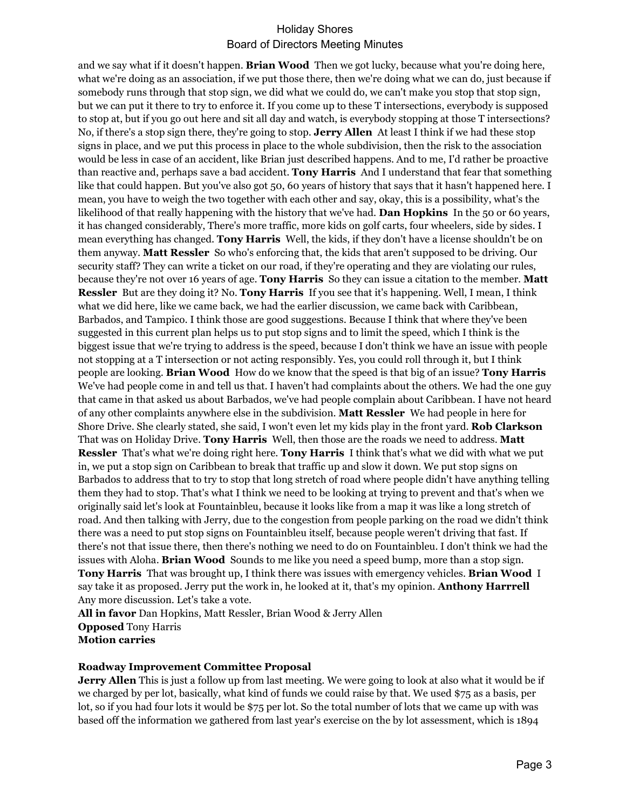and we say what if it doesn't happen. **Brian Wood** Then we got lucky, because what you're doing here, what we're doing as an association, if we put those there, then we're doing what we can do, just because if somebody runs through that stop sign, we did what we could do, we can't make you stop that stop sign, but we can put it there to try to enforce it. If you come up to these T intersections, everybody is supposed to stop at, but if you go out here and sit all day and watch, is everybody stopping at those T intersections? No, if there's a stop sign there, they're going to stop. **Jerry Allen** At least I think if we had these stop signs in place, and we put this process in place to the whole subdivision, then the risk to the association would be less in case of an accident, like Brian just described happens. And to me, I'd rather be proactive than reactive and, perhaps save a bad accident. **Tony Harris** And I understand that fear that something like that could happen. But you've also got 50, 60 years of history that says that it hasn't happened here. I mean, you have to weigh the two together with each other and say, okay, this is a possibility, what's the likelihood of that really happening with the history that we've had. **Dan Hopkins** In the 50 or 60 years, it has changed considerably, There's more traffic, more kids on golf carts, four wheelers, side by sides. I mean everything has changed. **Tony Harris** Well, the kids, if they don't have a license shouldn't be on them anyway. **Matt Ressler** So who's enforcing that, the kids that aren't supposed to be driving. Our security staff? They can write a ticket on our road, if they're operating and they are violating our rules, because they're not over 16 years of age. **Tony Harris** So they can issue a citation to the member. **Matt Ressler** But are they doing it? No. **Tony Harris** If you see that it's happening. Well, I mean, I think what we did here, like we came back, we had the earlier discussion, we came back with Caribbean, Barbados, and Tampico. I think those are good suggestions. Because I think that where they've been suggested in this current plan helps us to put stop signs and to limit the speed, which I think is the biggest issue that we're trying to address is the speed, because I don't think we have an issue with people not stopping at a T intersection or not acting responsibly. Yes, you could roll through it, but I think people are looking. **Brian Wood** How do we know that the speed is that big of an issue? **Tony Harris**  We've had people come in and tell us that. I haven't had complaints about the others. We had the one guy that came in that asked us about Barbados, we've had people complain about Caribbean. I have not heard of any other complaints anywhere else in the subdivision. **Matt Ressler** We had people in here for Shore Drive. She clearly stated, she said, I won't even let my kids play in the front yard. **Rob Clarkson**  That was on Holiday Drive. **Tony Harris** Well, then those are the roads we need to address. **Matt Ressler** That's what we're doing right here. **Tony Harris** I think that's what we did with what we put in, we put a stop sign on Caribbean to break that traffic up and slow it down. We put stop signs on Barbados to address that to try to stop that long stretch of road where people didn't have anything telling them they had to stop. That's what I think we need to be looking at trying to prevent and that's when we originally said let's look at Fountainbleu, because it looks like from a map it was like a long stretch of road. And then talking with Jerry, due to the congestion from people parking on the road we didn't think there was a need to put stop signs on Fountainbleu itself, because people weren't driving that fast. If there's not that issue there, then there's nothing we need to do on Fountainbleu. I don't think we had the issues with Aloha. **Brian Wood** Sounds to me like you need a speed bump, more than a stop sign. **Tony Harris** That was brought up, I think there was issues with emergency vehicles. **Brian Wood** I say take it as proposed. Jerry put the work in, he looked at it, that's my opinion. **Anthony Harrrell**  Any more discussion. Let's take a vote.

**All in favor** Dan Hopkins, Matt Ressler, Brian Wood & Jerry Allen **Opposed** Tony Harris **Motion carries**

#### **Roadway Improvement Committee Proposal**

**Jerry Allen** This is just a follow up from last meeting. We were going to look at also what it would be if we charged by per lot, basically, what kind of funds we could raise by that. We used \$75 as a basis, per lot, so if you had four lots it would be \$75 per lot. So the total number of lots that we came up with was based off the information we gathered from last year's exercise on the by lot assessment, which is 1894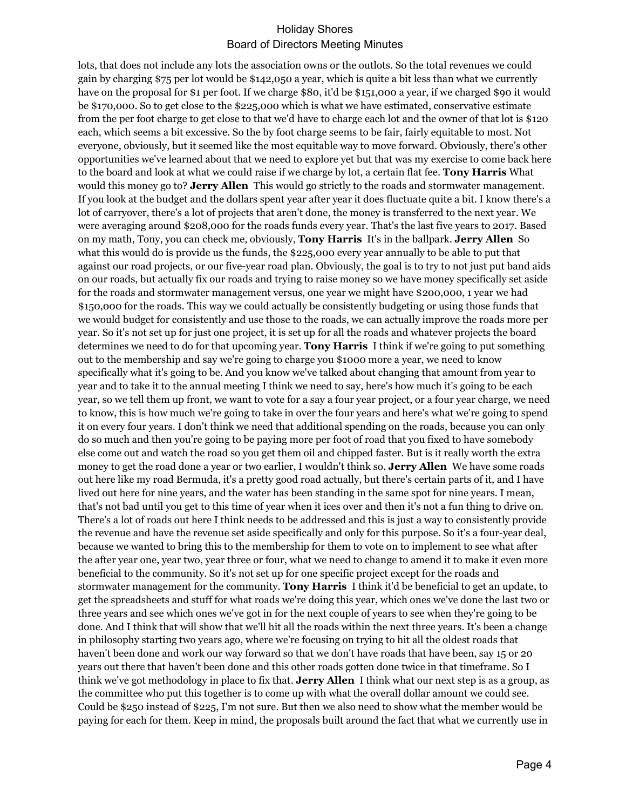lots, that does not include any lots the association owns or the outlots. So the total revenues we could gain by charging \$75 per lot would be \$142,050 a year, which is quite a bit less than what we currently have on the proposal for \$1 per foot. If we charge \$80, it'd be \$151,000 a year, if we charged \$90 it would be \$170,000. So to get close to the \$225,000 which is what we have estimated, conservative estimate from the per foot charge to get close to that we'd have to charge each lot and the owner of that lot is \$120 each, which seems a bit excessive. So the by foot charge seems to be fair, fairly equitable to most. Not everyone, obviously, but it seemed like the most equitable way to move forward. Obviously, there's other opportunities we've learned about that we need to explore yet but that was my exercise to come back here to the board and look at what we could raise if we charge by lot, a certain flat fee. **Tony Harris** What would this money go to? **Jerry Allen** This would go strictly to the roads and stormwater management. If you look at the budget and the dollars spent year after year it does fluctuate quite a bit. I know there's a lot of carryover, there's a lot of projects that aren't done, the money is transferred to the next year. We were averaging around \$208,000 for the roads funds every year. That's the last five years to 2017. Based on my math, Tony, you can check me, obviously, **Tony Harris** It's in the ballpark. **Jerry Allen** So what this would do is provide us the funds, the \$225,000 every year annually to be able to put that against our road projects, or our five-year road plan. Obviously, the goal is to try to not just put band aids on our roads, but actually fix our roads and trying to raise money so we have money specifically set aside for the roads and stormwater management versus, one year we might have \$200,000, 1 year we had \$150,000 for the roads. This way we could actually be consistently budgeting or using those funds that we would budget for consistently and use those to the roads, we can actually improve the roads more per year. So it's not set up for just one project, it is set up for all the roads and whatever projects the board determines we need to do for that upcoming year. **Tony Harris** I think if we're going to put something out to the membership and say we're going to charge you \$1000 more a year, we need to know specifically what it's going to be. And you know we've talked about changing that amount from year to year and to take it to the annual meeting I think we need to say, here's how much it's going to be each year, so we tell them up front, we want to vote for a say a four year project, or a four year charge, we need to know, this is how much we're going to take in over the four years and here's what we're going to spend it on every four years. I don't think we need that additional spending on the roads, because you can only do so much and then you're going to be paying more per foot of road that you fixed to have somebody else come out and watch the road so you get them oil and chipped faster. But is it really worth the extra money to get the road done a year or two earlier, I wouldn't think so. **Jerry Allen** We have some roads out here like my road Bermuda, it's a pretty good road actually, but there's certain parts of it, and I have lived out here for nine years, and the water has been standing in the same spot for nine years. I mean, that's not bad until you get to this time of year when it ices over and then it's not a fun thing to drive on. There's a lot of roads out here I think needs to be addressed and this is just a way to consistently provide the revenue and have the revenue set aside specifically and only for this purpose. So it's a four-year deal, because we wanted to bring this to the membership for them to vote on to implement to see what after the after year one, year two, year three or four, what we need to change to amend it to make it even more beneficial to the community. So it's not set up for one specific project except for the roads and stormwater management for the community. **Tony Harris** I think it'd be beneficial to get an update, to get the spreadsheets and stuff for what roads we're doing this year, which ones we've done the last two or three years and see which ones we've got in for the next couple of years to see when they're going to be done. And I think that will show that we'll hit all the roads within the next three years. It's been a change in philosophy starting two years ago, where we're focusing on trying to hit all the oldest roads that haven't been done and work our way forward so that we don't have roads that have been, say 15 or 20 years out there that haven't been done and this other roads gotten done twice in that timeframe. So I think we've got methodology in place to fix that. **Jerry Allen** I think what our next step is as a group, as the committee who put this together is to come up with what the overall dollar amount we could see. Could be \$250 instead of \$225, I'm not sure. But then we also need to show what the member would be paying for each for them. Keep in mind, the proposals built around the fact that what we currently use in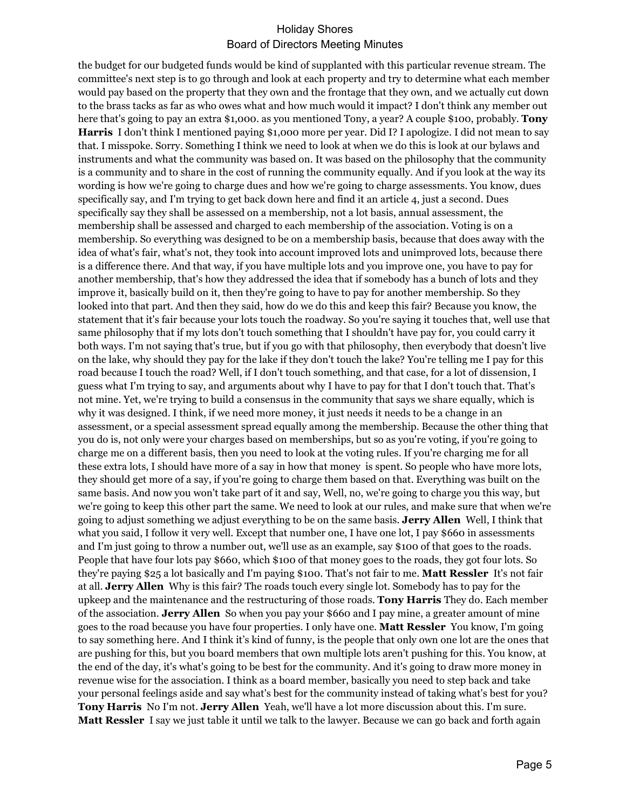the budget for our budgeted funds would be kind of supplanted with this particular revenue stream. The committee's next step is to go through and look at each property and try to determine what each member would pay based on the property that they own and the frontage that they own, and we actually cut down to the brass tacks as far as who owes what and how much would it impact? I don't think any member out here that's going to pay an extra \$1,000. as you mentioned Tony, a year? A couple \$100, probably. **Tony Harris** I don't think I mentioned paying \$1,000 more per year. Did I? I apologize. I did not mean to say that. I misspoke. Sorry. Something I think we need to look at when we do this is look at our bylaws and instruments and what the community was based on. It was based on the philosophy that the community is a community and to share in the cost of running the community equally. And if you look at the way its wording is how we're going to charge dues and how we're going to charge assessments. You know, dues specifically say, and I'm trying to get back down here and find it an article 4, just a second. Dues specifically say they shall be assessed on a membership, not a lot basis, annual assessment, the membership shall be assessed and charged to each membership of the association. Voting is on a membership. So everything was designed to be on a membership basis, because that does away with the idea of what's fair, what's not, they took into account improved lots and unimproved lots, because there is a difference there. And that way, if you have multiple lots and you improve one, you have to pay for another membership, that's how they addressed the idea that if somebody has a bunch of lots and they improve it, basically build on it, then they're going to have to pay for another membership. So they looked into that part. And then they said, how do we do this and keep this fair? Because you know, the statement that it's fair because your lots touch the roadway. So you're saying it touches that, well use that same philosophy that if my lots don't touch something that I shouldn't have pay for, you could carry it both ways. I'm not saying that's true, but if you go with that philosophy, then everybody that doesn't live on the lake, why should they pay for the lake if they don't touch the lake? You're telling me I pay for this road because I touch the road? Well, if I don't touch something, and that case, for a lot of dissension, I guess what I'm trying to say, and arguments about why I have to pay for that I don't touch that. That's not mine. Yet, we're trying to build a consensus in the community that says we share equally, which is why it was designed. I think, if we need more money, it just needs it needs to be a change in an assessment, or a special assessment spread equally among the membership. Because the other thing that you do is, not only were your charges based on memberships, but so as you're voting, if you're going to charge me on a different basis, then you need to look at the voting rules. If you're charging me for all these extra lots, I should have more of a say in how that money is spent. So people who have more lots, they should get more of a say, if you're going to charge them based on that. Everything was built on the same basis. And now you won't take part of it and say, Well, no, we're going to charge you this way, but we're going to keep this other part the same. We need to look at our rules, and make sure that when we're going to adjust something we adjust everything to be on the same basis. **Jerry Allen** Well, I think that what you said, I follow it very well. Except that number one, I have one lot, I pay \$660 in assessments and I'm just going to throw a number out, we'll use as an example, say \$100 of that goes to the roads. People that have four lots pay \$660, which \$100 of that money goes to the roads, they got four lots. So they're paying \$25 a lot basically and I'm paying \$100. That's not fair to me. **Matt Ressler** It's not fair at all. **Jerry Allen** Why is this fair? The roads touch every single lot. Somebody has to pay for the upkeep and the maintenance and the restructuring of those roads. **Tony Harris** They do. Each member of the association. **Jerry Allen** So when you pay your \$660 and I pay mine, a greater amount of mine goes to the road because you have four properties. I only have one. **Matt Ressler** You know, I'm going to say something here. And I think it's kind of funny, is the people that only own one lot are the ones that are pushing for this, but you board members that own multiple lots aren't pushing for this. You know, at the end of the day, it's what's going to be best for the community. And it's going to draw more money in revenue wise for the association. I think as a board member, basically you need to step back and take your personal feelings aside and say what's best for the community instead of taking what's best for you? **Tony Harris** No I'm not. **Jerry Allen** Yeah, we'll have a lot more discussion about this. I'm sure. **Matt Ressler** I say we just table it until we talk to the lawyer. Because we can go back and forth again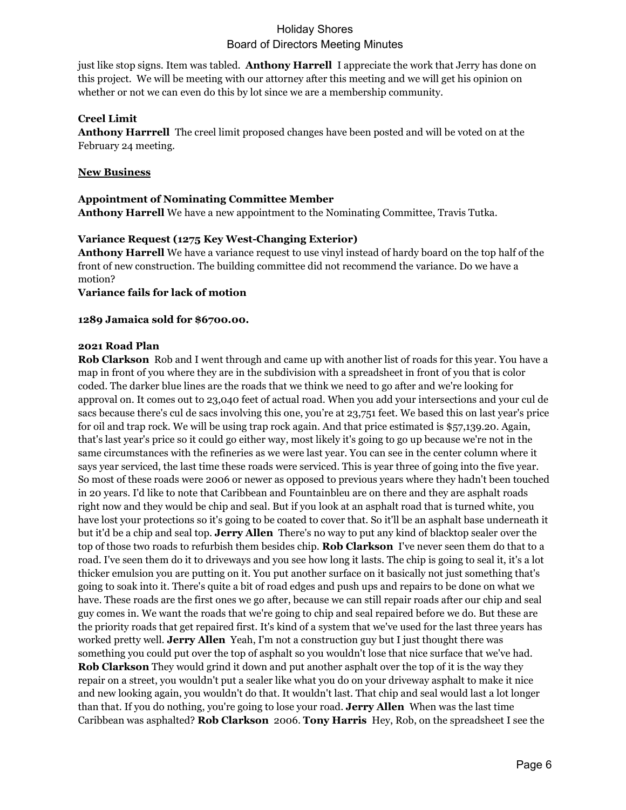just like stop signs. Item was tabled. **Anthony Harrell** I appreciate the work that Jerry has done on this project. We will be meeting with our attorney after this meeting and we will get his opinion on whether or not we can even do this by lot since we are a membership community.

## **Creel Limit**

**Anthony Harrrell** The creel limit proposed changes have been posted and will be voted on at the February 24 meeting.

## **New Business**

### **Appointment of Nominating Committee Member**

**Anthony Harrell** We have a new appointment to the Nominating Committee, Travis Tutka.

### **Variance Request (1275 Key West-Changing Exterior)**

**Anthony Harrell** We have a variance request to use vinyl instead of hardy board on the top half of the front of new construction. The building committee did not recommend the variance. Do we have a motion?

**Variance fails for lack of motion**

### **1289 Jamaica sold for \$6700.00.**

### **2021 Road Plan**

**Rob Clarkson** Rob and I went through and came up with another list of roads for this year. You have a map in front of you where they are in the subdivision with a spreadsheet in front of you that is color coded. The darker blue lines are the roads that we think we need to go after and we're looking for approval on. It comes out to 23,040 feet of actual road. When you add your intersections and your cul de sacs because there's cul de sacs involving this one, you're at 23,751 feet. We based this on last year's price for oil and trap rock. We will be using trap rock again. And that price estimated is \$57,139.20. Again, that's last year's price so it could go either way, most likely it's going to go up because we're not in the same circumstances with the refineries as we were last year. You can see in the center column where it says year serviced, the last time these roads were serviced. This is year three of going into the five year. So most of these roads were 2006 or newer as opposed to previous years where they hadn't been touched in 20 years. I'd like to note that Caribbean and Fountainbleu are on there and they are asphalt roads right now and they would be chip and seal. But if you look at an asphalt road that is turned white, you have lost your protections so it's going to be coated to cover that. So it'll be an asphalt base underneath it but it'd be a chip and seal top. **Jerry Allen** There's no way to put any kind of blacktop sealer over the top of those two roads to refurbish them besides chip. **Rob Clarkson** I've never seen them do that to a road. I've seen them do it to driveways and you see how long it lasts. The chip is going to seal it, it's a lot thicker emulsion you are putting on it. You put another surface on it basically not just something that's going to soak into it. There's quite a bit of road edges and push ups and repairs to be done on what we have. These roads are the first ones we go after, because we can still repair roads after our chip and seal guy comes in. We want the roads that we're going to chip and seal repaired before we do. But these are the priority roads that get repaired first. It's kind of a system that we've used for the last three years has worked pretty well. **Jerry Allen** Yeah, I'm not a construction guy but I just thought there was something you could put over the top of asphalt so you wouldn't lose that nice surface that we've had. **Rob Clarkson** They would grind it down and put another asphalt over the top of it is the way they repair on a street, you wouldn't put a sealer like what you do on your driveway asphalt to make it nice and new looking again, you wouldn't do that. It wouldn't last. That chip and seal would last a lot longer than that. If you do nothing, you're going to lose your road. **Jerry Allen** When was the last time Caribbean was asphalted? **Rob Clarkson** 2006. **Tony Harris** Hey, Rob, on the spreadsheet I see the